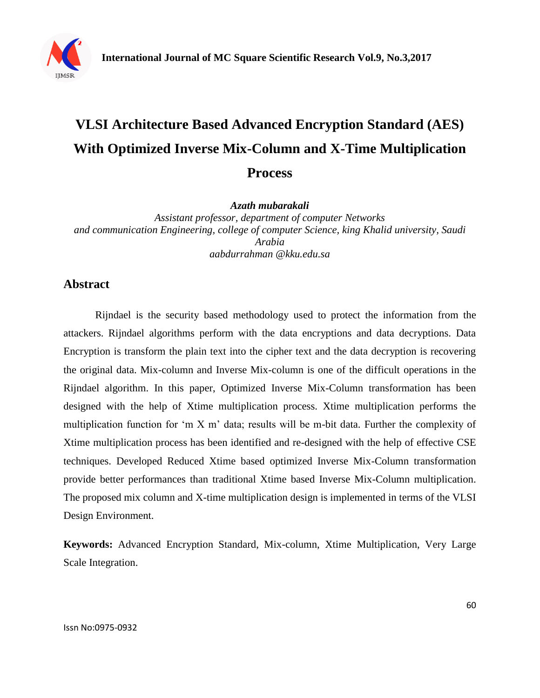

# **VLSI Architecture Based Advanced Encryption Standard (AES) With Optimized Inverse Mix-Column and X-Time Multiplication Process**

*Azath mubarakali*

*Assistant professor, department of computer Networks and communication Engineering, college of computer Science, king Khalid university, Saudi Arabia aabdurrahman @kku.edu.sa*

## **Abstract**

Rijndael is the security based methodology used to protect the information from the attackers. Rijndael algorithms perform with the data encryptions and data decryptions. Data Encryption is transform the plain text into the cipher text and the data decryption is recovering the original data. Mix-column and Inverse Mix-column is one of the difficult operations in the Rijndael algorithm. In this paper, Optimized Inverse Mix-Column transformation has been designed with the help of Xtime multiplication process. Xtime multiplication performs the multiplication function for "m X m" data; results will be m-bit data. Further the complexity of Xtime multiplication process has been identified and re-designed with the help of effective CSE techniques. Developed Reduced Xtime based optimized Inverse Mix-Column transformation provide better performances than traditional Xtime based Inverse Mix-Column multiplication. The proposed mix column and X-time multiplication design is implemented in terms of the VLSI Design Environment.

**Keywords:** Advanced Encryption Standard, Mix-column, Xtime Multiplication, Very Large Scale Integration.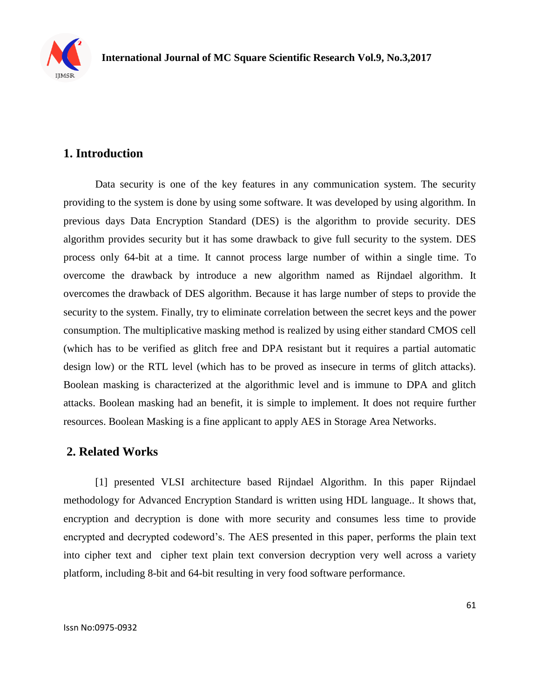

# **1. Introduction**

Data security is one of the key features in any communication system. The security providing to the system is done by using some software. It was developed by using algorithm. In previous days Data Encryption Standard (DES) is the algorithm to provide security. DES algorithm provides security but it has some drawback to give full security to the system. DES process only 64-bit at a time. It cannot process large number of within a single time. To overcome the drawback by introduce a new algorithm named as Rijndael algorithm. It overcomes the drawback of DES algorithm. Because it has large number of steps to provide the security to the system. Finally, try to eliminate correlation between the secret keys and the power consumption. The multiplicative masking method is realized by using either standard CMOS cell (which has to be verified as glitch free and DPA resistant but it requires a partial automatic design low) or the RTL level (which has to be proved as insecure in terms of glitch attacks). Boolean masking is characterized at the algorithmic level and is immune to DPA and glitch attacks. Boolean masking had an benefit, it is simple to implement. It does not require further resources. Boolean Masking is a fine applicant to apply AES in Storage Area Networks.

# **2. Related Works**

[1] presented VLSI architecture based Rijndael Algorithm. In this paper Rijndael methodology for Advanced Encryption Standard is written using HDL language.. It shows that, encryption and decryption is done with more security and consumes less time to provide encrypted and decrypted codeword"s. The AES presented in this paper, performs the plain text into cipher text and cipher text plain text conversion decryption very well across a variety platform, including 8-bit and 64-bit resulting in very food software performance.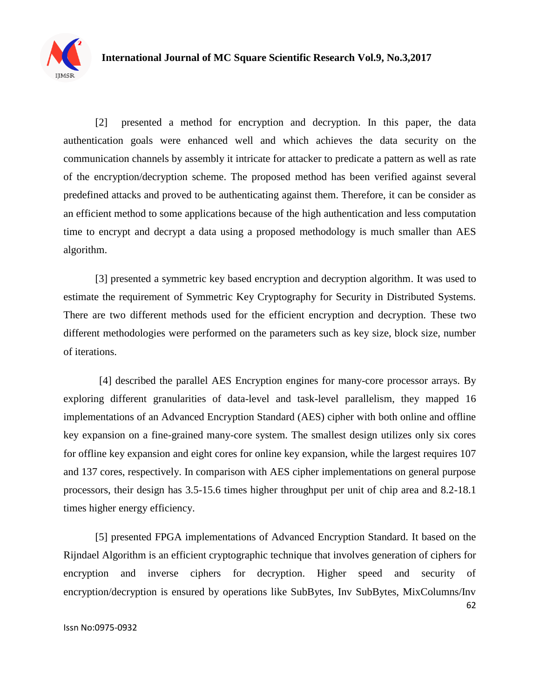

[2] presented a method for encryption and decryption. In this paper, the data authentication goals were enhanced well and which achieves the data security on the communication channels by assembly it intricate for attacker to predicate a pattern as well as rate of the encryption/decryption scheme. The proposed method has been verified against several predefined attacks and proved to be authenticating against them. Therefore, it can be consider as an efficient method to some applications because of the high authentication and less computation time to encrypt and decrypt a data using a proposed methodology is much smaller than AES algorithm.

[3] presented a symmetric key based encryption and decryption algorithm. It was used to estimate the requirement of Symmetric Key Cryptography for Security in Distributed Systems. There are two different methods used for the efficient encryption and decryption. These two different methodologies were performed on the parameters such as key size, block size, number of iterations.

[4] described the parallel AES Encryption engines for many-core processor arrays. By exploring different granularities of data-level and task-level parallelism, they mapped 16 implementations of an Advanced Encryption Standard (AES) cipher with both online and offline key expansion on a fine-grained many-core system. The smallest design utilizes only six cores for offline key expansion and eight cores for online key expansion, while the largest requires 107 and 137 cores, respectively. In comparison with AES cipher implementations on general purpose processors, their design has 3.5-15.6 times higher throughput per unit of chip area and 8.2-18.1 times higher energy efficiency.

62 [5] presented FPGA implementations of Advanced Encryption Standard. It based on the Rijndael Algorithm is an efficient cryptographic technique that involves generation of ciphers for encryption and inverse ciphers for decryption. Higher speed and security of encryption/decryption is ensured by operations like SubBytes, Inv SubBytes, MixColumns/Inv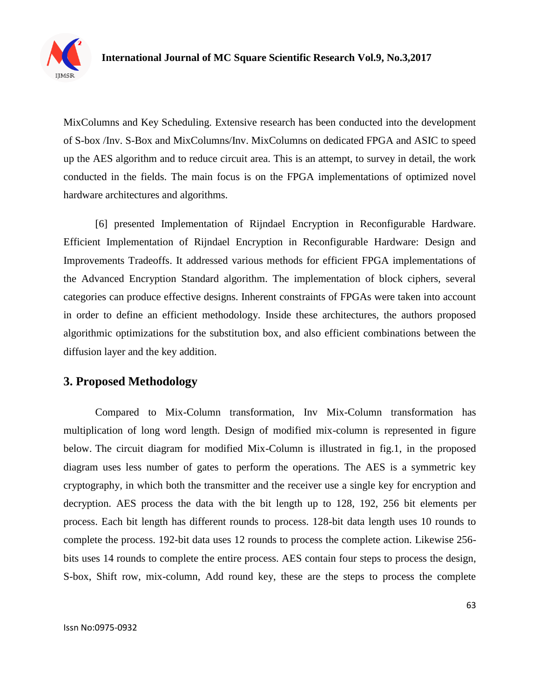

MixColumns and Key Scheduling. Extensive research has been conducted into the development of S-box /Inv. S-Box and MixColumns/Inv. MixColumns on dedicated FPGA and ASIC to speed up the AES algorithm and to reduce circuit area. This is an attempt, to survey in detail, the work conducted in the fields. The main focus is on the FPGA implementations of optimized novel hardware architectures and algorithms.

[6] presented Implementation of Rijndael Encryption in Reconfigurable Hardware. Efficient Implementation of Rijndael Encryption in Reconfigurable Hardware: Design and Improvements Tradeoffs. It addressed various methods for efficient FPGA implementations of the Advanced Encryption Standard algorithm. The implementation of block ciphers, several categories can produce effective designs. Inherent constraints of FPGAs were taken into account in order to define an efficient methodology. Inside these architectures, the authors proposed algorithmic optimizations for the substitution box, and also efficient combinations between the diffusion layer and the key addition.

# **3. Proposed Methodology**

Compared to Mix-Column transformation, Inv Mix-Column transformation has multiplication of long word length. Design of modified mix-column is represented in figure below. The circuit diagram for modified Mix-Column is illustrated in fig.1, in the proposed diagram uses less number of gates to perform the operations. The AES is a symmetric key cryptography, in which both the transmitter and the receiver use a single key for encryption and decryption. AES process the data with the bit length up to 128, 192, 256 bit elements per process. Each bit length has different rounds to process. 128-bit data length uses 10 rounds to complete the process. 192-bit data uses 12 rounds to process the complete action. Likewise 256 bits uses 14 rounds to complete the entire process. AES contain four steps to process the design, S-box, Shift row, mix-column, Add round key, these are the steps to process the complete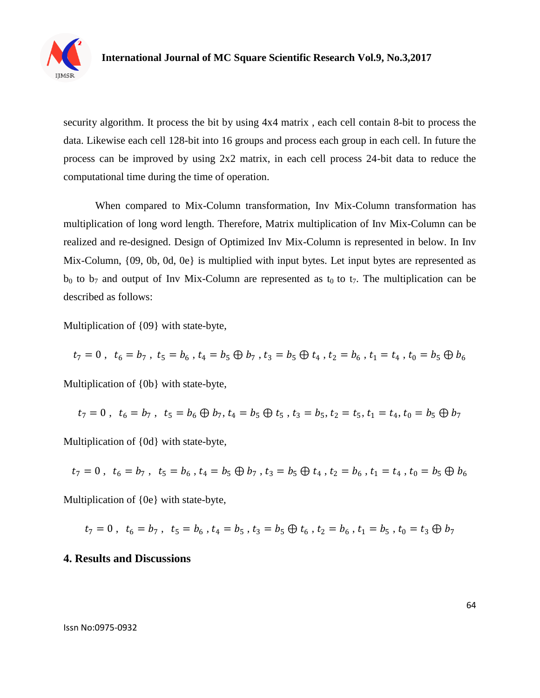

security algorithm. It process the bit by using 4x4 matrix , each cell contain 8-bit to process the data. Likewise each cell 128-bit into 16 groups and process each group in each cell. In future the process can be improved by using 2x2 matrix, in each cell process 24-bit data to reduce the computational time during the time of operation.

When compared to Mix-Column transformation, Inv Mix-Column transformation has multiplication of long word length. Therefore, Matrix multiplication of Inv Mix-Column can be realized and re-designed. Design of Optimized Inv Mix-Column is represented in below. In Inv Mix-Column,  $\{09, 0b, 0d, 0e\}$  is multiplied with input bytes. Let input bytes are represented as  $b_0$  to  $b_7$  and output of Inv Mix-Column are represented as  $t_0$  to  $t_7$ . The multiplication can be described as follows:

Multiplication of {09} with state-byte,

$$
t_7 = 0
$$
,  $t_6 = b_7$ ,  $t_5 = b_6$ ,  $t_4 = b_5 \oplus b_7$ ,  $t_3 = b_5 \oplus t_4$ ,  $t_2 = b_6$ ,  $t_1 = t_4$ ,  $t_0 = b_5 \oplus b_6$ 

Multiplication of {0b} with state-byte,

$$
t_7 = 0 \; , \; t_6 = b_7 \; , \; t_5 = b_6 \oplus b_7 \; , \; t_4 = b_5 \oplus t_5 \; , \; t_3 = b_5 \; , \; t_2 = t_5 \; , \; t_1 = t_4 \; , \; t_0 = b_5 \oplus b_7
$$

Multiplication of {0d} with state-byte,

$$
t_7 = 0 \; , \; t_6 = b_7 \; , \; t_5 = b_6 \; , \; t_4 = b_5 \oplus b_7 \; , \; t_3 = b_5 \oplus t_4 \; , \; t_2 = b_6 \; , \; t_1 = t_4 \; , \; t_0 = b_5 \oplus b_6
$$

Multiplication of {0e} with state-byte,

$$
t_7 = 0 \; , \; t_6 = b_7 \; , \; t_5 = b_6 \; , \; t_4 = b_5 \; , \; t_3 = b_5 \oplus t_6 \; , \; t_2 = b_6 \; , \; t_1 = b_5 \; , \; t_0 = t_3 \oplus b_7
$$

#### **4. Results and Discussions**

Issn No:0975-0932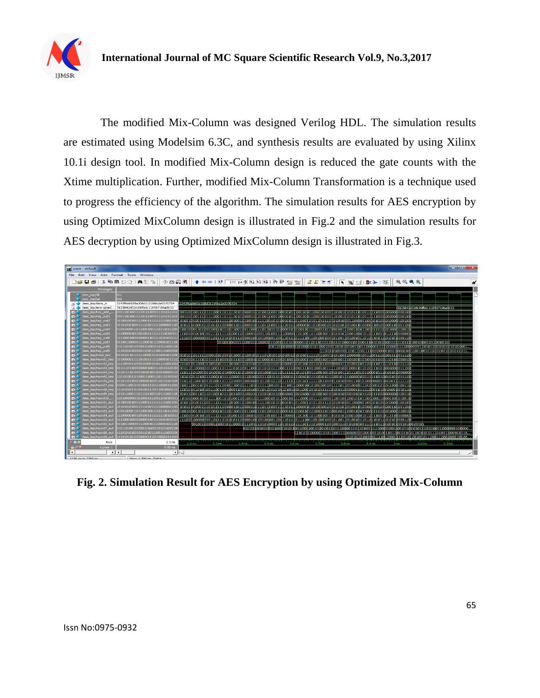

 The modified Mix-Column was designed Verilog HDL. The simulation results are estimated using Modelsim 6.3C, and synthesis results are evaluated by using Xilinx 10.1i design tool. In modified Mix-Column design is reduced the gate counts with the Xtime multiplication. Further, modified Mix-Column Transformation is a technique used to progress the efficiency of the algorithm. The simulation results for AES encryption by using Optimized MixColumn design is illustrated in Fig.2 and the simulation results for AES decryption by using Optimized MixColumn design is illustrated in Fig.3.



**Fig. 2. Simulation Result for AES Encryption by using Optimized Mix-Column**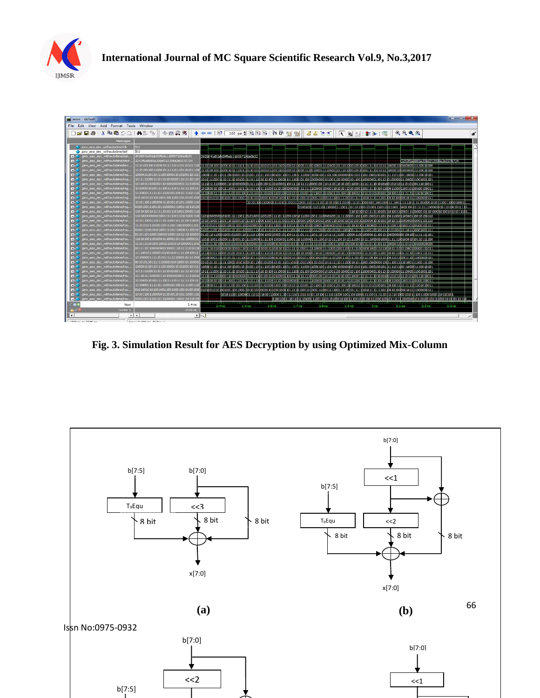



**Fig. 3. Simulation Result for AES Decryption by using Optimized Mix-Column**

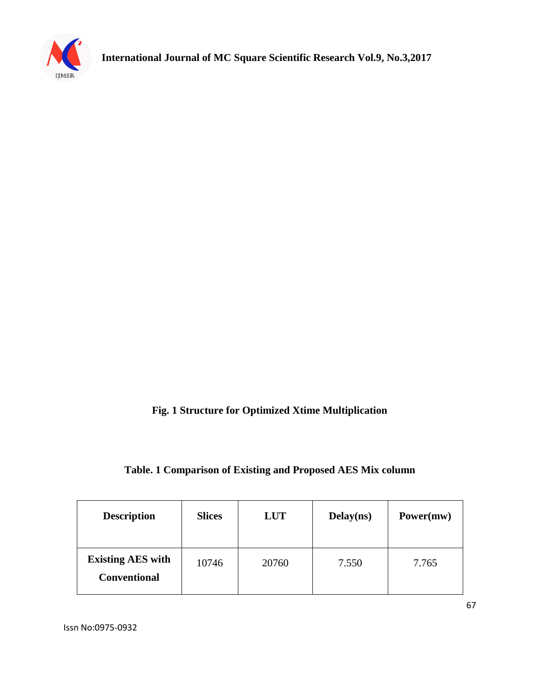

# **Fig. 1 Structure for Optimized Xtime Multiplication**

### **Table. 1 Comparison of Existing and Proposed AES Mix column**

| <b>Description</b>                              | <b>Slices</b> | <b>LUT</b> | Delay(ns) | Power(mw) |
|-------------------------------------------------|---------------|------------|-----------|-----------|
| <b>Existing AES with</b><br><b>Conventional</b> | 10746         | 20760      | 7.550     | 7.765     |

Issn No:0975-0932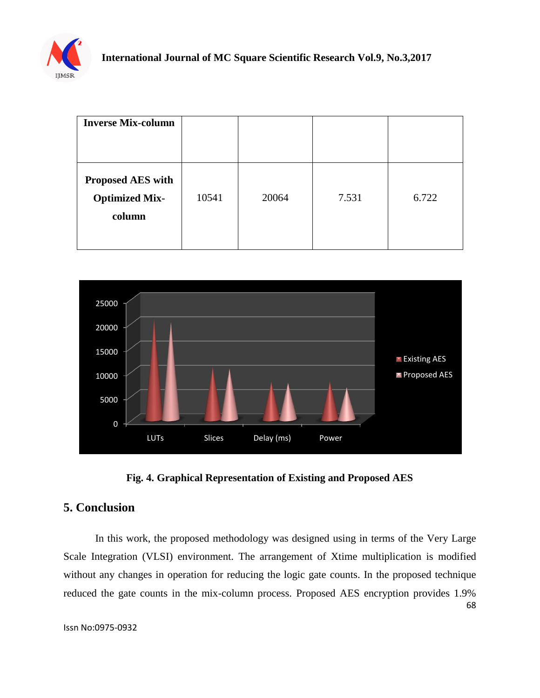

| <b>Inverse Mix-column</b>                                   |       |       |       |       |
|-------------------------------------------------------------|-------|-------|-------|-------|
| <b>Proposed AES with</b><br><b>Optimized Mix-</b><br>column | 10541 | 20064 | 7.531 | 6.722 |





# **5. Conclusion**

68 In this work, the proposed methodology was designed using in terms of the Very Large Scale Integration (VLSI) environment. The arrangement of Xtime multiplication is modified without any changes in operation for reducing the logic gate counts. In the proposed technique reduced the gate counts in the mix-column process. Proposed AES encryption provides 1.9%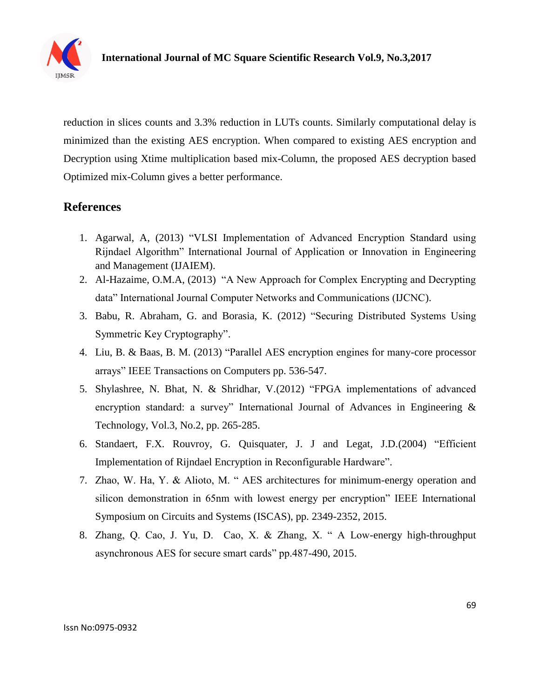

reduction in slices counts and 3.3% reduction in LUTs counts. Similarly computational delay is minimized than the existing AES encryption. When compared to existing AES encryption and Decryption using Xtime multiplication based mix-Column, the proposed AES decryption based Optimized mix-Column gives a better performance.

# **References**

- 1. Agarwal, A, (2013) "VLSI Implementation of Advanced Encryption Standard using Rijndael Algorithm" International Journal of Application or Innovation in Engineering and Management (IJAIEM).
- 2. Al-Hazaime, O.M.A, (2013) "A New Approach for Complex Encrypting and Decrypting data" International Journal Computer Networks and Communications (IJCNC).
- 3. Babu, R. Abraham, G. and Borasia, K. (2012) "Securing Distributed Systems Using Symmetric Key Cryptography".
- 4. Liu, B. & Baas, B. M. (2013) "Parallel AES encryption engines for many-core processor arrays" IEEE Transactions on Computers pp. 536-547.
- 5. Shylashree, N. Bhat, N. & Shridhar, V.(2012) "FPGA implementations of advanced encryption standard: a survey" International Journal of Advances in Engineering & Technology, Vol.3, No.2, pp. 265-285.
- 6. Standaert, F.X. Rouvroy, G. Quisquater, J. J and Legat, J.D.(2004) "Efficient Implementation of Rijndael Encryption in Reconfigurable Hardware".
- 7. Zhao, W. Ha, Y. & Alioto, M. " AES architectures for minimum-energy operation and silicon demonstration in 65nm with lowest energy per encryption" IEEE International Symposium on Circuits and Systems (ISCAS), pp. 2349-2352, 2015.
- 8. Zhang, Q. Cao, J. Yu, D. Cao, X. & Zhang, X. " A Low-energy high-throughput asynchronous AES for secure smart cards" pp.487-490, 2015.